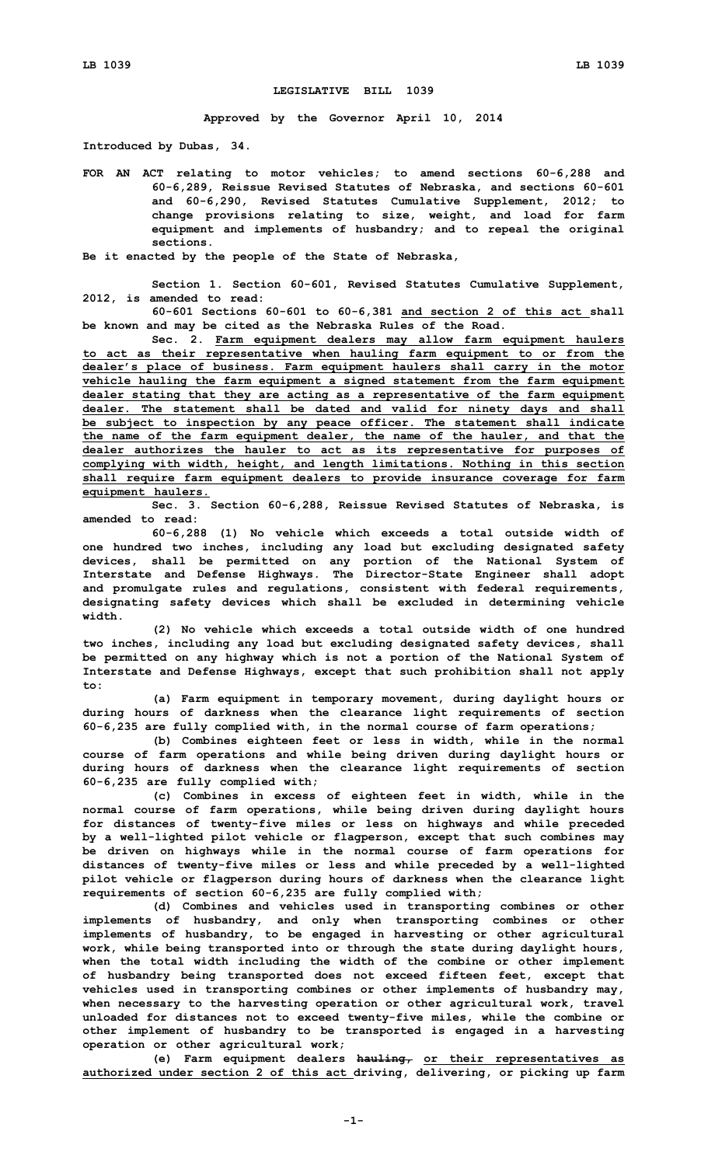## **LEGISLATIVE BILL 1039**

**Approved by the Governor April 10, 2014**

**Introduced by Dubas, 34.**

**FOR AN ACT relating to motor vehicles; to amend sections 60-6,288 and 60-6,289, Reissue Revised Statutes of Nebraska, and sections 60-601 and 60-6,290, Revised Statutes Cumulative Supplement, 2012; to change provisions relating to size, weight, and load for farm equipment and implements of husbandry; and to repeal the original sections.**

**Be it enacted by the people of the State of Nebraska,**

**Section 1. Section 60-601, Revised Statutes Cumulative Supplement, 2012, is amended to read:**

**60-601 Sections 60-601 to 60-6,381 and section 2 of this act shall be known and may be cited as the Nebraska Rules of the Road.**

**Sec. 2. Farm equipment dealers may allow farm equipment haulers to act as their representative when hauling farm equipment to or from the dealer's place of business. Farm equipment haulers shall carry in the motor vehicle hauling the farm equipment <sup>a</sup> signed statement from the farm equipment dealer stating that they are acting as <sup>a</sup> representative of the farm equipment dealer. The statement shall be dated and valid for ninety days and shall be subject to inspection by any peace officer. The statement shall indicate the name of the farm equipment dealer, the name of the hauler, and that the dealer authorizes the hauler to act as its representative for purposes of complying with width, height, and length limitations. Nothing in this section shall require farm equipment dealers to provide insurance coverage for farm equipment haulers.**

**Sec. 3. Section 60-6,288, Reissue Revised Statutes of Nebraska, is amended to read:**

**60-6,288 (1) No vehicle which exceeds <sup>a</sup> total outside width of one hundred two inches, including any load but excluding designated safety devices, shall be permitted on any portion of the National System of Interstate and Defense Highways. The Director-State Engineer shall adopt and promulgate rules and regulations, consistent with federal requirements, designating safety devices which shall be excluded in determining vehicle width.**

**(2) No vehicle which exceeds <sup>a</sup> total outside width of one hundred two inches, including any load but excluding designated safety devices, shall be permitted on any highway which is not <sup>a</sup> portion of the National System of Interstate and Defense Highways, except that such prohibition shall not apply to:**

**(a) Farm equipment in temporary movement, during daylight hours or during hours of darkness when the clearance light requirements of section 60-6,235 are fully complied with, in the normal course of farm operations;**

**(b) Combines eighteen feet or less in width, while in the normal course of farm operations and while being driven during daylight hours or during hours of darkness when the clearance light requirements of section 60-6,235 are fully complied with;**

**(c) Combines in excess of eighteen feet in width, while in the normal course of farm operations, while being driven during daylight hours for distances of twenty-five miles or less on highways and while preceded by <sup>a</sup> well-lighted pilot vehicle or flagperson, except that such combines may be driven on highways while in the normal course of farm operations for distances of twenty-five miles or less and while preceded by <sup>a</sup> well-lighted pilot vehicle or flagperson during hours of darkness when the clearance light requirements of section 60-6,235 are fully complied with;**

**(d) Combines and vehicles used in transporting combines or other implements of husbandry, and only when transporting combines or other implements of husbandry, to be engaged in harvesting or other agricultural work, while being transported into or through the state during daylight hours, when the total width including the width of the combine or other implement of husbandry being transported does not exceed fifteen feet, except that vehicles used in transporting combines or other implements of husbandry may, when necessary to the harvesting operation or other agricultural work, travel unloaded for distances not to exceed twenty-five miles, while the combine or other implement of husbandry to be transported is engaged in <sup>a</sup> harvesting operation or other agricultural work;**

**(e) Farm equipment dealers hauling, or their representatives as authorized under section 2 of this act driving, delivering, or picking up farm**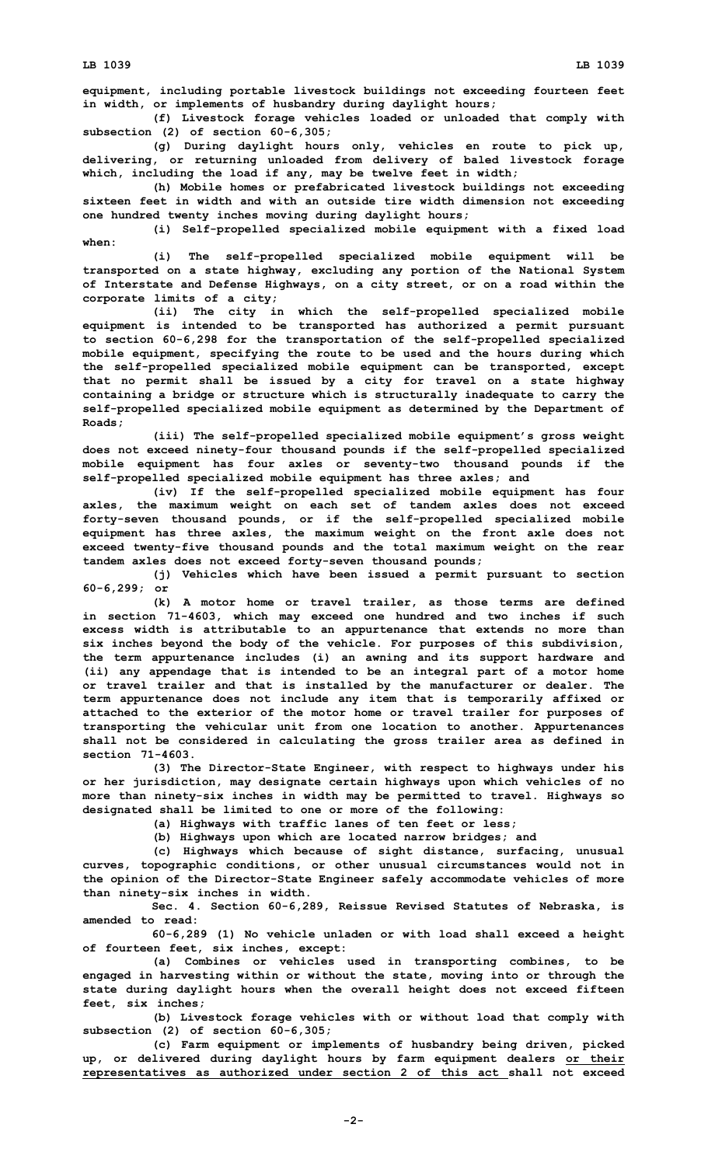**equipment, including portable livestock buildings not exceeding fourteen feet in width, or implements of husbandry during daylight hours;**

**(f) Livestock forage vehicles loaded or unloaded that comply with subsection (2) of section 60-6,305;**

**(g) During daylight hours only, vehicles en route to pick up, delivering, or returning unloaded from delivery of baled livestock forage which, including the load if any, may be twelve feet in width;**

**(h) Mobile homes or prefabricated livestock buildings not exceeding sixteen feet in width and with an outside tire width dimension not exceeding one hundred twenty inches moving during daylight hours;**

**(i) Self-propelled specialized mobile equipment with <sup>a</sup> fixed load when:**

**(i) The self-propelled specialized mobile equipment will be transported on <sup>a</sup> state highway, excluding any portion of the National System of Interstate and Defense Highways, on <sup>a</sup> city street, or on <sup>a</sup> road within the corporate limits of <sup>a</sup> city;**

**(ii) The city in which the self-propelled specialized mobile equipment is intended to be transported has authorized <sup>a</sup> permit pursuant to section 60-6,298 for the transportation of the self-propelled specialized mobile equipment, specifying the route to be used and the hours during which the self-propelled specialized mobile equipment can be transported, except that no permit shall be issued by <sup>a</sup> city for travel on <sup>a</sup> state highway containing <sup>a</sup> bridge or structure which is structurally inadequate to carry the self-propelled specialized mobile equipment as determined by the Department of Roads;**

**(iii) The self-propelled specialized mobile equipment's gross weight does not exceed ninety-four thousand pounds if the self-propelled specialized mobile equipment has four axles or seventy-two thousand pounds if the self-propelled specialized mobile equipment has three axles; and**

**(iv) If the self-propelled specialized mobile equipment has four axles, the maximum weight on each set of tandem axles does not exceed forty-seven thousand pounds, or if the self-propelled specialized mobile equipment has three axles, the maximum weight on the front axle does not exceed twenty-five thousand pounds and the total maximum weight on the rear tandem axles does not exceed forty-seven thousand pounds;**

**(j) Vehicles which have been issued <sup>a</sup> permit pursuant to section 60-6,299; or**

**(k) A motor home or travel trailer, as those terms are defined in section 71-4603, which may exceed one hundred and two inches if such excess width is attributable to an appurtenance that extends no more than six inches beyond the body of the vehicle. For purposes of this subdivision, the term appurtenance includes (i) an awning and its support hardware and (ii) any appendage that is intended to be an integral part of <sup>a</sup> motor home or travel trailer and that is installed by the manufacturer or dealer. The term appurtenance does not include any item that is temporarily affixed or attached to the exterior of the motor home or travel trailer for purposes of transporting the vehicular unit from one location to another. Appurtenances shall not be considered in calculating the gross trailer area as defined in section 71-4603.**

**(3) The Director-State Engineer, with respect to highways under his or her jurisdiction, may designate certain highways upon which vehicles of no more than ninety-six inches in width may be permitted to travel. Highways so designated shall be limited to one or more of the following:**

**(a) Highways with traffic lanes of ten feet or less;**

**(b) Highways upon which are located narrow bridges; and**

**(c) Highways which because of sight distance, surfacing, unusual curves, topographic conditions, or other unusual circumstances would not in the opinion of the Director-State Engineer safely accommodate vehicles of more than ninety-six inches in width.**

**Sec. 4. Section 60-6,289, Reissue Revised Statutes of Nebraska, is amended to read:**

**60-6,289 (1) No vehicle unladen or with load shall exceed <sup>a</sup> height of fourteen feet, six inches, except:**

**(a) Combines or vehicles used in transporting combines, to be engaged in harvesting within or without the state, moving into or through the state during daylight hours when the overall height does not exceed fifteen feet, six inches;**

**(b) Livestock forage vehicles with or without load that comply with subsection (2) of section 60-6,305;**

**(c) Farm equipment or implements of husbandry being driven, picked up, or delivered during daylight hours by farm equipment dealers or their representatives as authorized under section 2 of this act shall not exceed**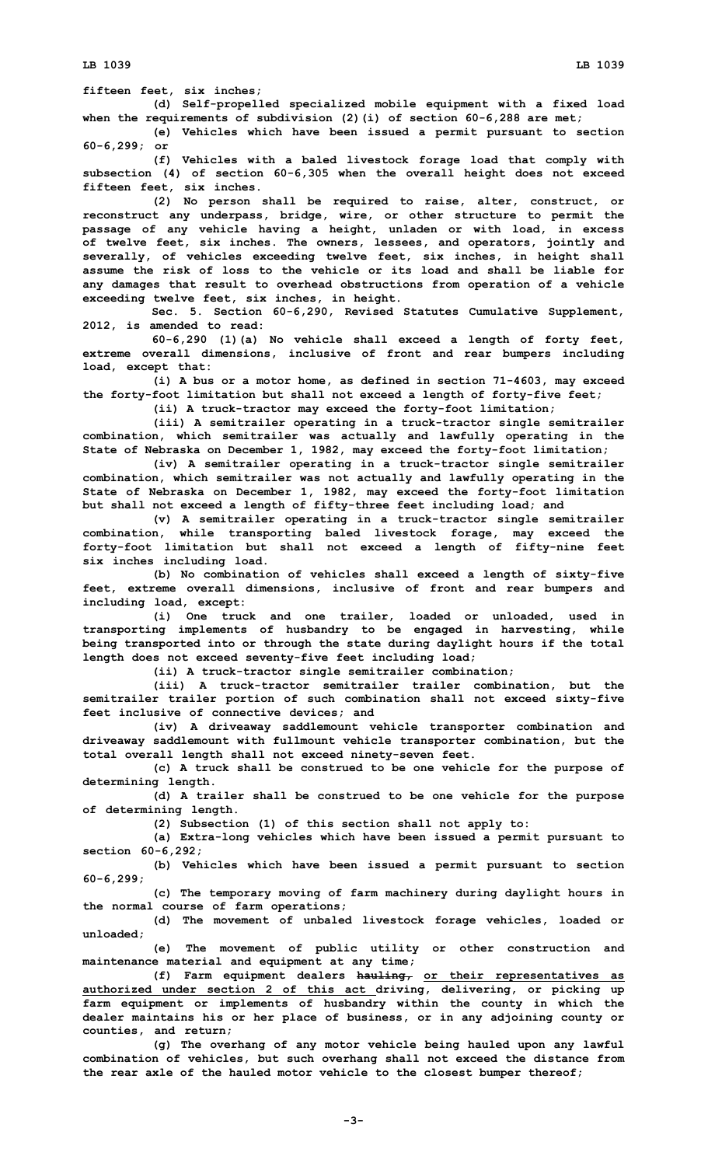**(d) Self-propelled specialized mobile equipment with <sup>a</sup> fixed load when the requirements of subdivision (2)(i) of section 60-6,288 are met;**

**(e) Vehicles which have been issued <sup>a</sup> permit pursuant to section 60-6,299; or**

**(f) Vehicles with <sup>a</sup> baled livestock forage load that comply with subsection (4) of section 60-6,305 when the overall height does not exceed fifteen feet, six inches.**

**(2) No person shall be required to raise, alter, construct, or reconstruct any underpass, bridge, wire, or other structure to permit the passage of any vehicle having <sup>a</sup> height, unladen or with load, in excess of twelve feet, six inches. The owners, lessees, and operators, jointly and severally, of vehicles exceeding twelve feet, six inches, in height shall assume the risk of loss to the vehicle or its load and shall be liable for any damages that result to overhead obstructions from operation of <sup>a</sup> vehicle exceeding twelve feet, six inches, in height.**

**Sec. 5. Section 60-6,290, Revised Statutes Cumulative Supplement, 2012, is amended to read:**

**60-6,290 (1)(a) No vehicle shall exceed <sup>a</sup> length of forty feet, extreme overall dimensions, inclusive of front and rear bumpers including load, except that:**

**(i) <sup>A</sup> bus or <sup>a</sup> motor home, as defined in section 71-4603, may exceed the forty-foot limitation but shall not exceed <sup>a</sup> length of forty-five feet;**

**(ii) <sup>A</sup> truck-tractor may exceed the forty-foot limitation;**

**(iii) <sup>A</sup> semitrailer operating in <sup>a</sup> truck-tractor single semitrailer combination, which semitrailer was actually and lawfully operating in the State of Nebraska on December 1, 1982, may exceed the forty-foot limitation;**

**(iv) <sup>A</sup> semitrailer operating in <sup>a</sup> truck-tractor single semitrailer combination, which semitrailer was not actually and lawfully operating in the State of Nebraska on December 1, 1982, may exceed the forty-foot limitation but shall not exceed <sup>a</sup> length of fifty-three feet including load; and**

**(v) <sup>A</sup> semitrailer operating in <sup>a</sup> truck-tractor single semitrailer combination, while transporting baled livestock forage, may exceed the forty-foot limitation but shall not exceed <sup>a</sup> length of fifty-nine feet six inches including load.**

**(b) No combination of vehicles shall exceed <sup>a</sup> length of sixty-five feet, extreme overall dimensions, inclusive of front and rear bumpers and including load, except:**

**(i) One truck and one trailer, loaded or unloaded, used in transporting implements of husbandry to be engaged in harvesting, while being transported into or through the state during daylight hours if the total length does not exceed seventy-five feet including load;**

**(ii) <sup>A</sup> truck-tractor single semitrailer combination;**

**(iii) A truck-tractor semitrailer trailer combination, but the semitrailer trailer portion of such combination shall not exceed sixty-five feet inclusive of connective devices; and**

**(iv) <sup>A</sup> driveaway saddlemount vehicle transporter combination and driveaway saddlemount with fullmount vehicle transporter combination, but the total overall length shall not exceed ninety-seven feet.**

**(c) <sup>A</sup> truck shall be construed to be one vehicle for the purpose of determining length.**

**(d) <sup>A</sup> trailer shall be construed to be one vehicle for the purpose of determining length.**

**(2) Subsection (1) of this section shall not apply to:**

**(a) Extra-long vehicles which have been issued <sup>a</sup> permit pursuant to section 60-6,292;**

**(b) Vehicles which have been issued <sup>a</sup> permit pursuant to section 60-6,299;**

**(c) The temporary moving of farm machinery during daylight hours in the normal course of farm operations;**

**(d) The movement of unbaled livestock forage vehicles, loaded or unloaded;**

**(e) The movement of public utility or other construction and maintenance material and equipment at any time;**

**(f) Farm equipment dealers hauling, or their representatives as authorized under section 2 of this act driving, delivering, or picking up farm equipment or implements of husbandry within the county in which the dealer maintains his or her place of business, or in any adjoining county or counties, and return;**

**(g) The overhang of any motor vehicle being hauled upon any lawful combination of vehicles, but such overhang shall not exceed the distance from the rear axle of the hauled motor vehicle to the closest bumper thereof;**